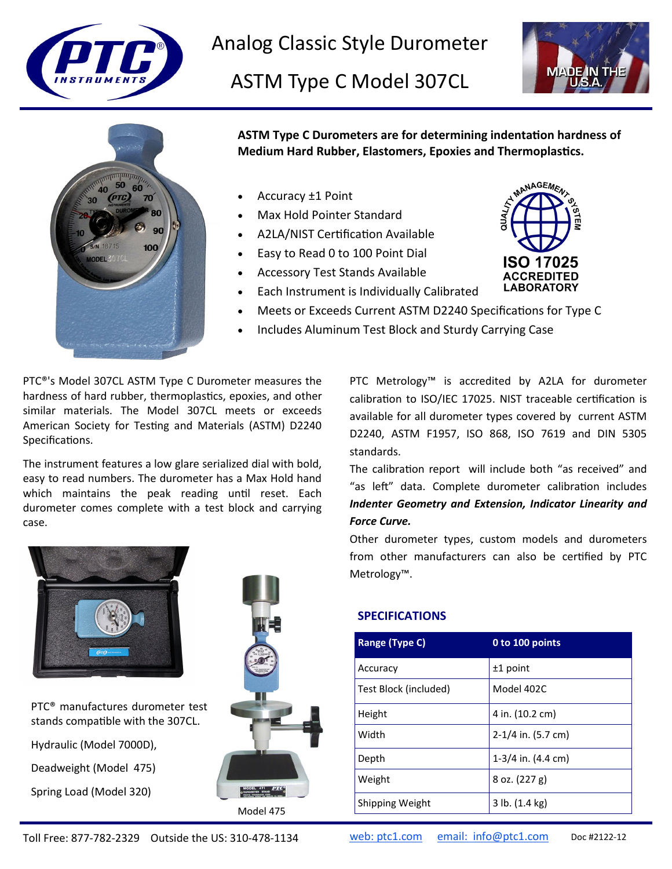

Analog Classic Style Durometer

ASTM Type C Model 307CL





**ASTM Type C Durometers are for determining indentation hardness of Medium Hard Rubber, Elastomers, Epoxies and Thermoplastics.**

- Accuracy ±1 Point
- Max Hold Pointer Standard
- A2LA/NIST Certification Available
- Easy to Read 0 to 100 Point Dial
- Accessory Test Stands Available
- **ISO 17025 ACCREDITED LABORATORY**

MANAGEMEN

- Meets or Exceeds Current ASTM D2240 Specifications for Type C
- Includes Aluminum Test Block and Sturdy Carrying Case

• Each Instrument is Individually Calibrated

PTC®'s Model 307CL ASTM Type C Durometer measures the hardness of hard rubber, thermoplastics, epoxies, and other similar materials. The Model 307CL meets or exceeds American Society for Testing and Materials (ASTM) D2240 Specifications.

The instrument features a low glare serialized dial with bold, easy to read numbers. The durometer has a Max Hold hand which maintains the peak reading until reset. Each durometer comes complete with a test block and carrying case.

PTC Metrology™ is accredited by A2LA for durometer calibration to ISO/IEC 17025. NIST traceable certification is available for all durometer types covered by current ASTM D2240, ASTM F1957, ISO 868, ISO 7619 and DIN 5305 standards.

The calibration report will include both "as received" and "as left" data. Complete durometer calibration includes *Indenter Geometry and Extension, Indicator Linearity and Force Curve.*

Other durometer types, custom models and durometers from other manufacturers can also be certified by PTC Metrology™.



PTC® manufactures durometer test stands compatible with the 307CL.

Hydraulic (Model 7000D),

Deadweight (Model 475)

Spring Load (Model 320)



## **SPECIFICATIONS**

| Range (Type C)        | 0 to 100 points                |
|-----------------------|--------------------------------|
| Accuracy              | $±1$ point                     |
| Test Block (included) | Model 402C                     |
| Height                | 4 in. (10.2 cm)                |
| Width                 | $2-1/4$ in. (5.7 cm)           |
| Depth                 | $1-3/4$ in. $(4.4 \text{ cm})$ |
| Weight                | $8$ oz. $(227 g)$              |
| Shipping Weight       | 3 lb. (1.4 kg)                 |